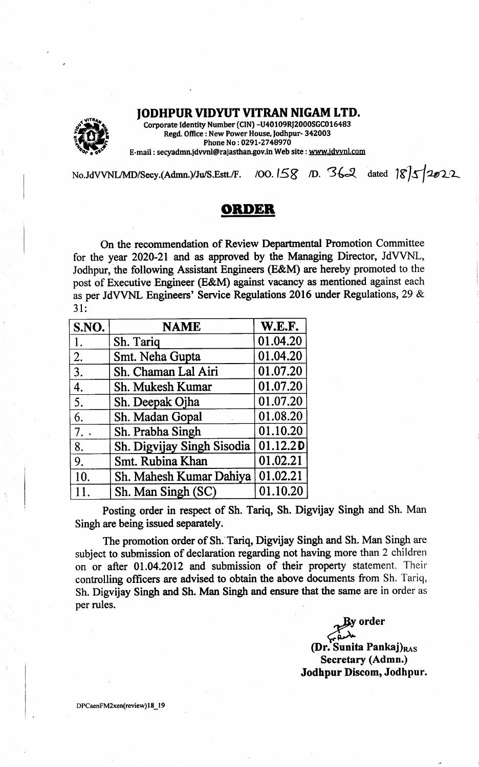JODHPURVIDYUT VITRAN NIGAM LTD.



Corporate Identity Number (CIN) -U40109RJ2000SGC016483 Regd. Office : New Power House, Jodhpur- 342003 Phone No: 0291-2748970 E-mail : secyadmn.jdvvnl@rajasthan.gov.in Web site : www.jdvvnl.com

No.JdVVNL/MD/Secy.(Admn.)/Ju/S.Estt./F. /OO. 158 D. 362 dated  $18\sqrt{5}$ 

## OnIDEB

On the recommendation of Review Deparfrnental Promotion Committee for the year 2020-21 and as approved by the Managing Director, JdVVNL, Jodhpur, the following Assistant Engineers (E&M) are hereby promoted to the post of Executive Engineer (E&M) against vacancy as mentioned against each as per JdVVNL Engineers' Service Regulations 2016 under Regulations,29 & 31:

| S.NO.            | <b>NAME</b>                | <b>W.E.F.</b> |
|------------------|----------------------------|---------------|
| 1.               | Sh. Tariq                  | 01.04.20      |
| $\overline{2}$ . | Smt. Neha Gupta            | 01.04.20      |
| 3.               | Sh. Chaman Lal Airi        | 01.07.20      |
| 4.               | Sh. Mukesh Kumar           | 01.07.20      |
| 5.               | Sh. Deepak Ojha            | 01.07.20      |
| 6.               | Sh. Madan Gopal            | 01.08.20      |
| 7.               | Sh. Prabha Singh           | 01.10.20      |
| 8.               | Sh. Digvijay Singh Sisodia | 01.12.20      |
| 9.               | <b>Smt. Rubina Khan</b>    | 01.02.21      |
| 10.              | Sh. Mahesh Kumar Dahiya    | 01.02.21      |
| 11.              | Sh. Man Singh (SC)         | 01.10.20      |

Posting order in respect of Sh. Tariq, Sh. Digvijay Singh and Sh. Man Singh are being issued separately.

The promotion order of Sh. Tariq, Digvijay Singh and Sh. Man Singh are subject to submission of declaration regarding not having more than 2 children on or after 01.04.2012 and submission of their property statement. Their controlling officers are advised to obtain the above documents from Sh. Tariq, Sh. Digvijay Singh and Sh. Man Singh and ensure that the same are in order as per rules.

ly order  $\curvearrowleft$ (<mark>Dr.</mark> Sunita Pankaj)<sub>RAS</sub> Secretary (Admn.) Jodhpur Discom, Jodhpur.

DPCaenFM2xen(review) 18\_19